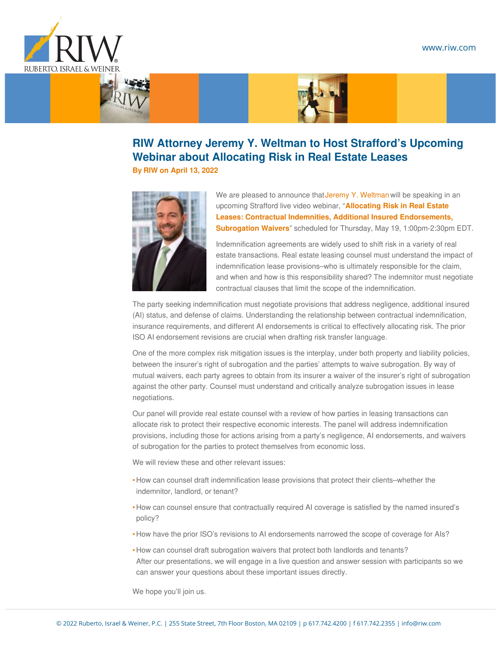## www.riw.com





## **RIW Attorney Jeremy Y. Weltman to Host Strafford's Upcoming Webinar about Allocating Risk in Real Estate Leases**

**By [RIW](https://www.riw.com/author/riw/) on April 13, 2022**



We are pleased to announce that Jeremy Y. [Weltman](https://www.riw.com/attorney/jeremy-y-weltman/) will be speaking in an upcoming Strafford live video webinar, "**Allocating Risk in Real Estate Leases: Contractual Indemnities, Additional Insured [Endorsements,](https://www.straffordpub.com/products/tlirukhmra?utm_campaign=tlirukhmra&utm_medium=email&utm_content=&utm_source=exacttarget&pid=2564549&trk=RA1U51-81OAAY&mid=255089&rd=sp04) Subrogation Waivers**" scheduled for Thursday, May 19, 1:00pm-2:30pm EDT.

Indemnification agreements are widely used to shift risk in a variety of real estate transactions. Real estate leasing counsel must understand the impact of indemnification lease provisions–who is ultimately responsible for the claim, and when and how is this responsibility shared? The indemnitor must negotiate contractual clauses that limit the scope of the indemnification.

The party seeking indemnification must negotiate provisions that address negligence, additional insured (AI) status, and defense of claims. Understanding the relationship between contractual indemnification, insurance requirements, and different AI endorsements is critical to effectively allocating risk. The prior ISO AI endorsement revisions are crucial when drafting risk transfer language.

One of the more complex risk mitigation issues is the interplay, under both property and liability policies, between the insurer's right of subrogation and the parties' attempts to waive subrogation. By way of mutual waivers, each party agrees to obtain from its insurer a waiver of the insurer's right of subrogation against the other party. Counsel must understand and critically analyze subrogation issues in lease negotiations.

Our panel will provide real estate counsel with a review of how parties in leasing transactions can allocate risk to protect their respective economic interests. The panel will address indemnification provisions, including those for actions arising from a party's negligence, AI endorsements, and waivers of subrogation for the parties to protect themselves from economic loss.

We will review these and other relevant issues:

- How can counsel draft indemnification lease provisions that protect their clients–whether the indemnitor, landlord, or tenant?
- $\bullet$  How can counsel ensure that contractually required AI coverage is satisfied by the named insured's policy?
- How have the prior ISO's revisions to AI endorsements narrowed the scope of coverage for AIs?
- How can counsel draft subrogation waivers that protect both landlords and tenants? After our presentations, we will engage in a live question and answer session with participants so we can answer your questions about these important issues directly.

We hope you'll join us.